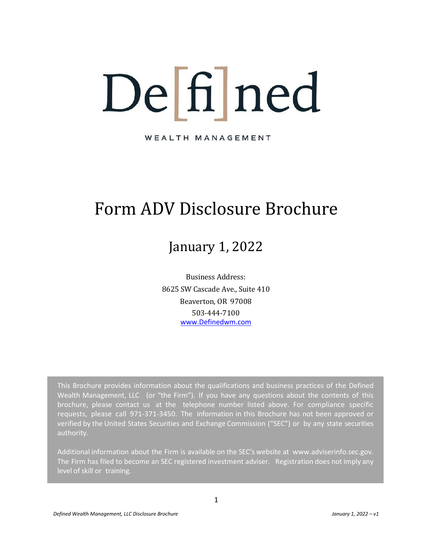# De fil ned

WEALTH MANAGEMENT

# Form ADV Disclosure Brochure

# January 1, 2022

Business Address: 8625 SW Cascade Ave., Suite 410 Beaverton, OR 97008 503-444-7100 [www.Definedwm.com](http://www.definedwm.com/)

This Brochure provides information about the qualifications and business practices of the Defined Wealth Management, LLC (or "the Firm"). If you have any questions about the contents of this brochure, please contact us at the telephone number listed above. For compliance specific requests, please call 971-371-3450. The information in this Brochure has not been approved or verified by the United States Securities and Exchange Commission ("SEC") or by any state securities authority.

Additional information about the Firm is available on the SEC's website at [www.adviserinfo.sec.gov.](http://www.adviserinfo.sec.gov/) The Firm has filed to become an SEC registered investment adviser. Registration does not imply any level of skill or training.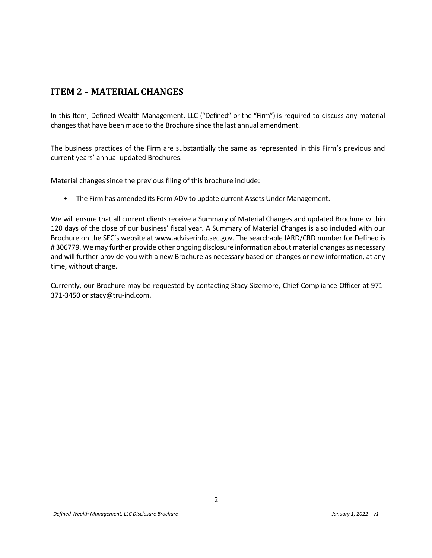# <span id="page-1-0"></span>**ITEM 2 - MATERIAL CHANGES**

In this Item, Defined Wealth Management, LLC ("Defined" or the "Firm") is required to discuss any material changes that have been made to the Brochure since the last annual amendment.

The business practices of the Firm are substantially the same as represented in this Firm's previous and current years' annual updated Brochures.

Material changes since the previous filing of this brochure include:

• The Firm has amended its Form ADV to update current Assets Under Management.

We will ensure that all current clients receive a Summary of Material Changes and updated Brochure within 120 days of the close of our business' fiscal year. A Summary of Material Changes is also included with our Brochure on the SEC's website at www.adviserinfo.sec.gov. The searchable IARD/CRD number for Defined is # 306779. We may further provide other ongoing disclosure information about material changes as necessary and will further provide you with a new Brochure as necessary based on changes or new information, at any time, without charge.

Currently, our Brochure may be requested by contacting Stacy Sizemore, Chief Compliance Officer at 971- 371-3450 or [stacy@tru-ind.com.](mailto:stacy@tru-ind.com)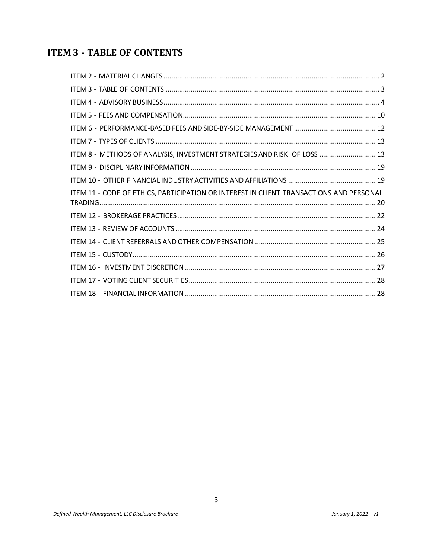# <span id="page-2-0"></span>**ITEM 3 - TABLE OF CONTENTS**

| ITEM 8 - METHODS OF ANALYSIS, INVESTMENT STRATEGIES AND RISK OF LOSS  13                |  |
|-----------------------------------------------------------------------------------------|--|
|                                                                                         |  |
|                                                                                         |  |
| ITEM 11 - CODE OF ETHICS, PARTICIPATION OR INTEREST IN CLIENT TRANSACTIONS AND PERSONAL |  |
|                                                                                         |  |
|                                                                                         |  |
|                                                                                         |  |
|                                                                                         |  |
|                                                                                         |  |
|                                                                                         |  |
|                                                                                         |  |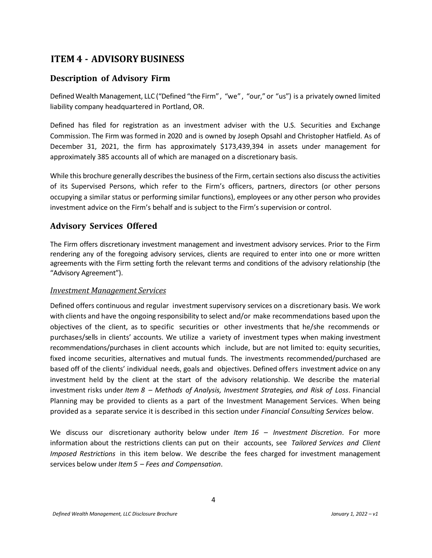# <span id="page-3-0"></span>**ITEM 4 - ADVISORY BUSINESS**

#### **Description of Advisory Firm**

Defined Wealth Management, LLC ("Defined "the Firm", "we", "our," or "us") is a privately owned limited liability company headquartered in Portland, OR.

Defined has filed for registration as an investment adviser with the U.S. Securities and Exchange Commission. The Firm was formed in 2020 and is owned by Joseph Opsahl and Christopher Hatfield. As of December 31, 2021, the firm has approximately \$173,439,394 in assets under management for approximately 385 accounts all of which are managed on a discretionary basis.

While this brochure generally describes the business of the Firm, certain sections also discuss the activities of its Supervised Persons, which refer to the Firm's officers, partners, directors (or other persons occupying a similar status or performing similar functions), employees or any other person who provides investment advice on the Firm's behalf and is subject to the Firm's supervision or control.

#### **Advisory Services Offered**

The Firm offers discretionary investment management and investment advisory services. Prior to the Firm rendering any of the foregoing advisory services, clients are required to enter into one or more written agreements with the Firm setting forth the relevant terms and conditions of the advisory relationship (the "Advisory Agreement").

#### *Investment Management Services*

Defined offers continuous and regular investment supervisory services on a discretionary basis. We work with clients and have the ongoing responsibility to select and/or make recommendations based upon the objectives of the client, as to specific securities or other investments that he/she recommends or purchases/sells in clients' accounts. We utilize a variety of investment types when making investment recommendations/purchases in client accounts which include, but are not limited to: equity securities, fixed income securities, alternatives and mutual funds. The investments recommended/purchased are based off of the clients' individual needs, goals and objectives. Defined offers investment advice on any investment held by the client at the start of the advisory relationship. We describe the material investment risks under *Item 8 – Methods of Analysis, Investment Strategies, and Risk of Loss*. Financial Planning may be provided to clients as a part of the Investment Management Services. When being provided as a separate service it is described in this section under *Financial Consulting Services* below.

We discuss our discretionary authority below under *Item 16 – Investment Discretion*. For more information about the restrictions clients can put on their accounts, see *Tailored Services and Client Imposed Restrictions* in this item below. We describe the fees charged for investment management services below under *Item5 – Fees and Compensation*.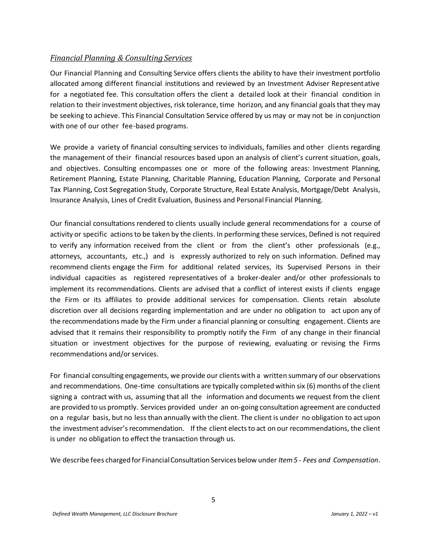#### *Financial Planning & Consulting Services*

Our Financial Planning and Consulting Service offers clients the ability to have their investment portfolio allocated among different financial institutions and reviewed by an Investment Adviser Representative for a negotiated fee. This consultation offers the client a detailed look at their financial condition in relation to their investment objectives, risk tolerance, time horizon, and any financial goals that they may be seeking to achieve. This Financial Consultation Service offered by us may or may not be in conjunction with one of our other fee-based programs.

We provide a variety of financial consulting services to individuals, families and other clients regarding the management of their financial resources based upon an analysis of client's current situation, goals, and objectives. Consulting encompasses one or more of the following areas: Investment Planning, Retirement Planning, Estate Planning, Charitable Planning, Education Planning, Corporate and Personal Tax Planning, Cost Segregation Study, Corporate Structure, Real Estate Analysis, Mortgage/Debt Analysis, Insurance Analysis, Lines of Credit Evaluation, Business and Personal Financial Planning.

Our financial consultations rendered to clients usually include general recommendations for a course of activity or specific actionsto be taken by the clients. In performing these services, Defined is not required to verify any information received from the client or from the client's other professionals (e.g., attorneys, accountants, etc.,) and is expressly authorized to rely on such information. Defined may recommend clients engage the Firm for additional related services, its Supervised Persons in their individual capacities as registered representatives of a broker-dealer and/or other professionals to implement its recommendations. Clients are advised that a conflict of interest exists if clients engage the Firm or its affiliates to provide additional services for compensation. Clients retain absolute discretion over all decisions regarding implementation and are under no obligation to act upon any of the recommendations made by the Firm under a financial planning or consulting engagement. Clients are advised that it remains their responsibility to promptly notify the Firm of any change in their financial situation or investment objectives for the purpose of reviewing, evaluating or revising the Firms recommendations and/or services.

For financial consulting engagements, we provide our clients with a written summary of our observations and recommendations. One-time consultations are typically completed within six (6) months of the client signing a contract with us, assuming that all the information and documents we request from the client are provided to us promptly. Services provided under an on-going consultation agreement are conducted on a regular basis, but no less than annually with the client. The client is under no obligation to act upon the investment adviser's recommendation. If the client elects to act on our recommendations, the client is under no obligation to effect the transaction through us.

We describe fees charged for FinancialConsultation Services below under *Item5 - Fees and Compensation*.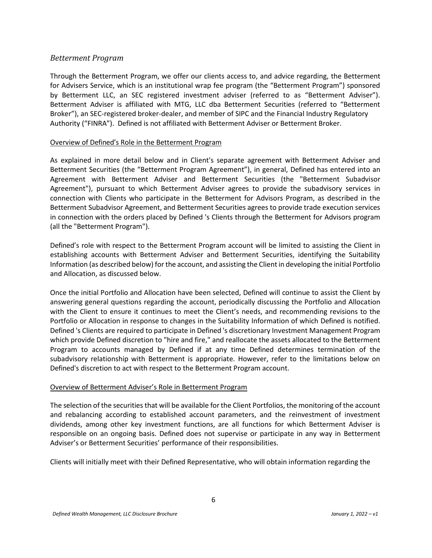#### *Betterment Program*

Through the Betterment Program, we offer our clients access to, and advice regarding, the Betterment for Advisers Service, which is an institutional wrap fee program (the "Betterment Program") sponsored by Betterment LLC, an SEC registered investment adviser (referred to as "Betterment Adviser"). Betterment Adviser is affiliated with MTG, LLC dba Betterment Securities (referred to "Betterment Broker"), an SEC-registered broker-dealer, and member of SIPC and the Financial Industry Regulatory Authority ("FINRA"). Defined is not affiliated with Betterment Adviser or Betterment Broker.

#### Overview of Defined's Role in the Betterment Program

As explained in more detail below and in Client's separate agreement with Betterment Adviser and Betterment Securities (the "Betterment Program Agreement"), in general, Defined has entered into an Agreement with Betterment Adviser and Betterment Securities (the "Betterment Subadvisor Agreement"), pursuant to which Betterment Adviser agrees to provide the subadvisory services in connection with Clients who participate in the Betterment for Advisors Program, as described in the Betterment Subadvisor Agreement, and Betterment Securities agrees to provide trade execution services in connection with the orders placed by Defined 's Clients through the Betterment for Advisors program (all the "Betterment Program").

Defined's role with respect to the Betterment Program account will be limited to assisting the Client in establishing accounts with Betterment Adviser and Betterment Securities, identifying the Suitability Information (as described below) for the account, and assisting the Client in developing the initial Portfolio and Allocation, as discussed below.

Once the initial Portfolio and Allocation have been selected, Defined will continue to assist the Client by answering general questions regarding the account, periodically discussing the Portfolio and Allocation with the Client to ensure it continues to meet the Client's needs, and recommending revisions to the Portfolio or Allocation in response to changes in the Suitability Information of which Defined is notified. Defined 's Clients are required to participate in Defined 's discretionary Investment Management Program which provide Defined discretion to "hire and fire," and reallocate the assets allocated to the Betterment Program to accounts managed by Defined if at any time Defined determines termination of the subadvisory relationship with Betterment is appropriate. However, refer to the limitations below on Defined's discretion to act with respect to the Betterment Program account.

#### Overview of Betterment Adviser's Role in Betterment Program

The selection of the securities that will be available for the Client Portfolios, the monitoring of the account and rebalancing according to established account parameters, and the reinvestment of investment dividends, among other key investment functions, are all functions for which Betterment Adviser is responsible on an ongoing basis. Defined does not supervise or participate in any way in Betterment Adviser's or Betterment Securities' performance of their responsibilities.

Clients will initially meet with their Defined Representative, who will obtain information regarding the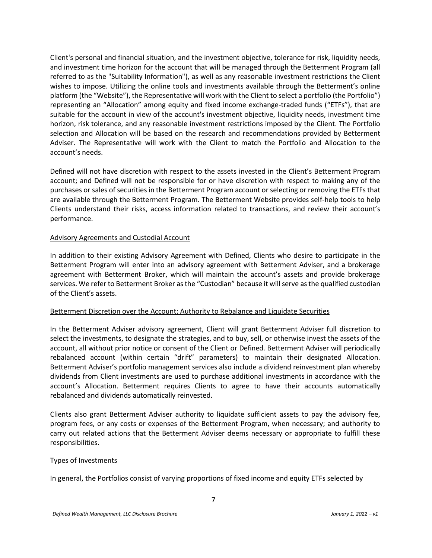Client's personal and financial situation, and the investment objective, tolerance for risk, liquidity needs, and investment time horizon for the account that will be managed through the Betterment Program (all referred to as the "Suitability Information"), as well as any reasonable investment restrictions the Client wishes to impose. Utilizing the online tools and investments available through the Betterment's online platform (the "Website"), the Representative will work with the Client to select a portfolio (the Portfolio") representing an "Allocation" among equity and fixed income exchange-traded funds ("ETFs"), that are suitable for the account in view of the account's investment objective, liquidity needs, investment time horizon, risk tolerance, and any reasonable investment restrictions imposed by the Client. The Portfolio selection and Allocation will be based on the research and recommendations provided by Betterment Adviser. The Representative will work with the Client to match the Portfolio and Allocation to the account's needs.

Defined will not have discretion with respect to the assets invested in the Client's Betterment Program account; and Defined will not be responsible for or have discretion with respect to making any of the purchases or sales of securities in the Betterment Program account or selecting or removing the ETFs that are available through the Betterment Program. The Betterment Website provides self-help tools to help Clients understand their risks, access information related to transactions, and review their account's performance.

#### Advisory Agreements and Custodial Account

In addition to their existing Advisory Agreement with Defined, Clients who desire to participate in the Betterment Program will enter into an advisory agreement with Betterment Adviser, and a brokerage agreement with Betterment Broker, which will maintain the account's assets and provide brokerage services. We refer to Betterment Broker as the "Custodian" because it will serve as the qualified custodian of the Client's assets.

#### Betterment Discretion over the Account; Authority to Rebalance and Liquidate Securities

In the Betterment Adviser advisory agreement, Client will grant Betterment Adviser full discretion to select the investments, to designate the strategies, and to buy, sell, or otherwise invest the assets of the account, all without prior notice or consent of the Client or Defined. Betterment Adviser will periodically rebalanced account (within certain "drift" parameters) to maintain their designated Allocation. Betterment Adviser's portfolio management services also include a dividend reinvestment plan whereby dividends from Client investments are used to purchase additional investments in accordance with the account's Allocation. Betterment requires Clients to agree to have their accounts automatically rebalanced and dividends automatically reinvested.

Clients also grant Betterment Adviser authority to liquidate sufficient assets to pay the advisory fee, program fees, or any costs or expenses of the Betterment Program, when necessary; and authority to carry out related actions that the Betterment Adviser deems necessary or appropriate to fulfill these responsibilities.

#### Types of Investments

In general, the Portfolios consist of varying proportions of fixed income and equity ETFs selected by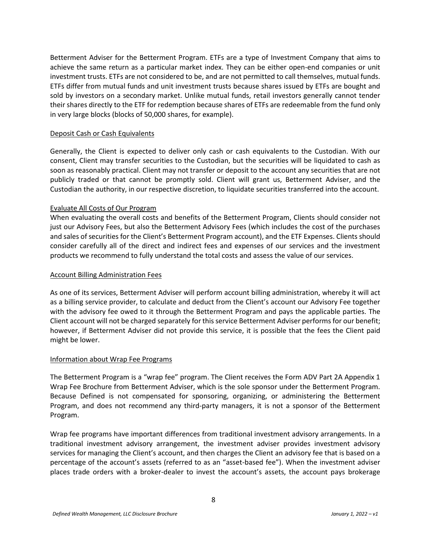Betterment Adviser for the Betterment Program. ETFs are a type of Investment Company that aims to achieve the same return as a particular market index. They can be either open-end companies or unit investment trusts. ETFs are not considered to be, and are not permitted to call themselves, mutual funds. ETFs differ from mutual funds and unit investment trusts because shares issued by ETFs are bought and sold by investors on a secondary market. Unlike mutual funds, retail investors generally cannot tender their shares directly to the ETF for redemption because shares of ETFs are redeemable from the fund only in very large blocks (blocks of 50,000 shares, for example).

#### Deposit Cash or Cash Equivalents

Generally, the Client is expected to deliver only cash or cash equivalents to the Custodian. With our consent, Client may transfer securities to the Custodian, but the securities will be liquidated to cash as soon as reasonably practical. Client may not transfer or deposit to the account any securities that are not publicly traded or that cannot be promptly sold. Client will grant us, Betterment Adviser, and the Custodian the authority, in our respective discretion, to liquidate securities transferred into the account.

#### Evaluate All Costs of Our Program

When evaluating the overall costs and benefits of the Betterment Program, Clients should consider not just our Advisory Fees, but also the Betterment Advisory Fees (which includes the cost of the purchases and sales of securities for the Client's Betterment Program account), and the ETF Expenses. Clients should consider carefully all of the direct and indirect fees and expenses of our services and the investment products we recommend to fully understand the total costs and assess the value of our services.

#### Account Billing Administration Fees

As one of its services, Betterment Adviser will perform account billing administration, whereby it will act as a billing service provider, to calculate and deduct from the Client's account our Advisory Fee together with the advisory fee owed to it through the Betterment Program and pays the applicable parties. The Client account will not be charged separately for this service Betterment Adviser performs for our benefit; however, if Betterment Adviser did not provide this service, it is possible that the fees the Client paid might be lower.

#### Information about Wrap Fee Programs

The Betterment Program is a "wrap fee" program. The Client receives the Form ADV Part 2A Appendix 1 Wrap Fee Brochure from Betterment Adviser, which is the sole sponsor under the Betterment Program. Because Defined is not compensated for sponsoring, organizing, or administering the Betterment Program, and does not recommend any third-party managers, it is not a sponsor of the Betterment Program.

Wrap fee programs have important differences from traditional investment advisory arrangements. In a traditional investment advisory arrangement, the investment adviser provides investment advisory services for managing the Client's account, and then charges the Client an advisory fee that is based on a percentage of the account's assets (referred to as an "asset-based fee"). When the investment adviser places trade orders with a broker-dealer to invest the account's assets, the account pays brokerage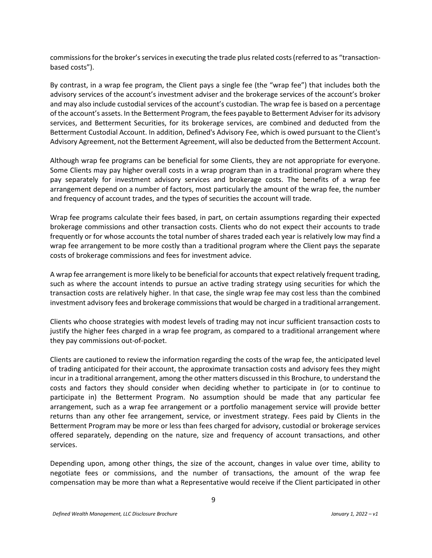commissions for the broker's services in executing the trade plusrelated costs (referred to as "transactionbased costs").

By contrast, in a wrap fee program, the Client pays a single fee (the "wrap fee") that includes both the advisory services of the account's investment adviser and the brokerage services of the account's broker and may also include custodial services of the account's custodian. The wrap fee is based on a percentage of the account's assets. In the Betterment Program, the fees payable to Betterment Adviser for its advisory services, and Betterment Securities, for its brokerage services, are combined and deducted from the Betterment Custodial Account. In addition, Defined's Advisory Fee, which is owed pursuant to the Client's Advisory Agreement, not the Betterment Agreement, will also be deducted from the Betterment Account.

Although wrap fee programs can be beneficial for some Clients, they are not appropriate for everyone. Some Clients may pay higher overall costs in a wrap program than in a traditional program where they pay separately for investment advisory services and brokerage costs. The benefits of a wrap fee arrangement depend on a number of factors, most particularly the amount of the wrap fee, the number and frequency of account trades, and the types of securities the account will trade.

Wrap fee programs calculate their fees based, in part, on certain assumptions regarding their expected brokerage commissions and other transaction costs. Clients who do not expect their accounts to trade frequently or for whose accounts the total number of shares traded each year is relatively low may find a wrap fee arrangement to be more costly than a traditional program where the Client pays the separate costs of brokerage commissions and fees for investment advice.

A wrap fee arrangement is more likely to be beneficial for accounts that expect relatively frequent trading, such as where the account intends to pursue an active trading strategy using securities for which the transaction costs are relatively higher. In that case, the single wrap fee may cost less than the combined investment advisory fees and brokerage commissions that would be charged in a traditional arrangement.

Clients who choose strategies with modest levels of trading may not incur sufficient transaction costs to justify the higher fees charged in a wrap fee program, as compared to a traditional arrangement where they pay commissions out-of-pocket.

Clients are cautioned to review the information regarding the costs of the wrap fee, the anticipated level of trading anticipated for their account, the approximate transaction costs and advisory fees they might incur in a traditional arrangement, among the other matters discussed in this Brochure, to understand the costs and factors they should consider when deciding whether to participate in (or to continue to participate in) the Betterment Program. No assumption should be made that any particular fee arrangement, such as a wrap fee arrangement or a portfolio management service will provide better returns than any other fee arrangement, service, or investment strategy. Fees paid by Clients in the Betterment Program may be more or less than fees charged for advisory, custodial or brokerage services offered separately, depending on the nature, size and frequency of account transactions, and other services.

Depending upon, among other things, the size of the account, changes in value over time, ability to negotiate fees or commissions, and the number of transactions, the amount of the wrap fee compensation may be more than what a Representative would receive if the Client participated in other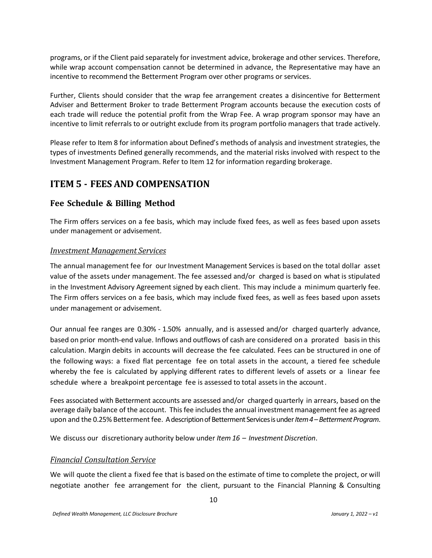programs, or if the Client paid separately for investment advice, brokerage and other services. Therefore, while wrap account compensation cannot be determined in advance, the Representative may have an incentive to recommend the Betterment Program over other programs or services.

Further, Clients should consider that the wrap fee arrangement creates a disincentive for Betterment Adviser and Betterment Broker to trade Betterment Program accounts because the execution costs of each trade will reduce the potential profit from the Wrap Fee. A wrap program sponsor may have an incentive to limit referrals to or outright exclude from its program portfolio managers that trade actively.

Please refer to Item 8 for information about Defined's methods of analysis and investment strategies, the types of investments Defined generally recommends, and the material risks involved with respect to the Investment Management Program. Refer to Item 12 for information regarding brokerage.

# <span id="page-9-0"></span>**ITEM 5 - FEES AND COMPENSATION**

#### **Fee Schedule & Billing Method**

The Firm offers services on a fee basis, which may include fixed fees, as well as fees based upon assets under management or advisement.

#### *Investment Management Services*

The annual management fee for our Investment Management Services is based on the total dollar asset value of the assets under management. The fee assessed and/or charged is based on what is stipulated in the Investment Advisory Agreement signed by each client. This may include a minimum quarterly fee. The Firm offers services on a fee basis, which may include fixed fees, as well as fees based upon assets under management or advisement.

Our annual fee ranges are 0.30% - 1.50% annually, and is assessed and/or charged quarterly advance, based on prior month-end value. Inflows and outflows of cash are considered on a prorated basisin this calculation. Margin debits in accounts will decrease the fee calculated. Fees can be structured in one of the following ways: a fixed flat percentage fee on total assets in the account, a tiered fee schedule whereby the fee is calculated by applying different rates to different levels of assets or a linear fee schedule where a breakpoint percentage fee is assessed to total assets in the account.

Fees associated with Betterment accounts are assessed and/or charged quarterly in arrears, based on the average daily balance of the account. This fee includes the annual investment management fee as agreed upon and the 0.25% Betterment fee. A description of Betterment Services is under *Item 4 –Betterment Program*.

We discuss our discretionary authority below under *Item 16 – Investment Discretion*.

#### *Financial Consultation Service*

We will quote the client a fixed fee that is based on the estimate of time to complete the project, or will negotiate another fee arrangement for the client, pursuant to the Financial Planning & Consulting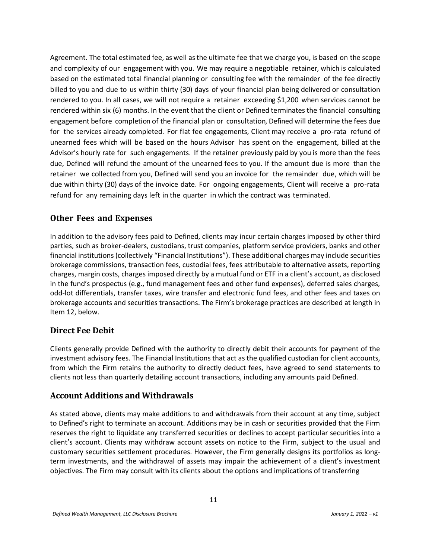Agreement. The total estimated fee, as well asthe ultimate fee that we charge you, is based on the scope and complexity of our engagement with you. We may require a negotiable retainer, which is calculated based on the estimated total financial planning or consulting fee with the remainder of the fee directly billed to you and due to us within thirty (30) days of your financial plan being delivered or consultation rendered to you. In all cases, we will not require a retainer exceeding \$1,200 when services cannot be rendered within six (6) months. In the event that the client or Defined terminates the financial consulting engagement before completion of the financial plan or consultation, Defined will determine the fees due for the services already completed. For flat fee engagements, Client may receive a pro-rata refund of unearned fees which will be based on the hours Advisor has spent on the engagement, billed at the Advisor's hourly rate for such engagements. If the retainer previously paid by you is more than the fees due, Defined will refund the amount of the unearned fees to you. If the amount due is more than the retainer we collected from you, Defined will send you an invoice for the remainder due, which will be due within thirty (30) days of the invoice date. For ongoing engagements, Client will receive a pro-rata refund for any remaining days left in the quarter in which the contract was terminated.

#### **Other Fees and Expenses**

In addition to the advisory fees paid to Defined, clients may incur certain charges imposed by other third parties, such as broker-dealers, custodians, trust companies, platform service providers, banks and other financial institutions (collectively "Financial Institutions"). These additional charges may include securities brokerage commissions, transaction fees, custodial fees, fees attributable to alternative assets, reporting charges, margin costs, charges imposed directly by a mutual fund or ETF in a client's account, as disclosed in the fund's prospectus (e.g., fund management fees and other fund expenses), deferred sales charges, odd-lot differentials, transfer taxes, wire transfer and electronic fund fees, and other fees and taxes on brokerage accounts and securities transactions. The Firm's brokerage practices are described at length in Item 12, below.

#### **Direct Fee Debit**

Clients generally provide Defined with the authority to directly debit their accounts for payment of the investment advisory fees. The Financial Institutions that act as the qualified custodian for client accounts, from which the Firm retains the authority to directly deduct fees, have agreed to send statements to clients not less than quarterly detailing account transactions, including any amounts paid Defined.

#### **Account Additions and Withdrawals**

As stated above, clients may make additions to and withdrawals from their account at any time, subject to Defined's right to terminate an account. Additions may be in cash or securities provided that the Firm reserves the right to liquidate any transferred securities or declines to accept particular securities into a client's account. Clients may withdraw account assets on notice to the Firm, subject to the usual and customary securities settlement procedures. However, the Firm generally designs its portfolios as longterm investments, and the withdrawal of assets may impair the achievement of a client's investment objectives. The Firm may consult with its clients about the options and implications of transferring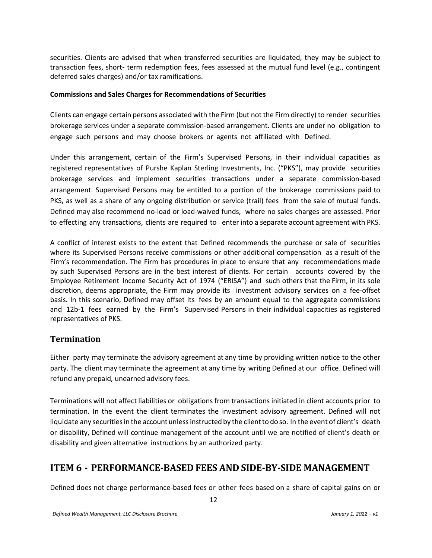securities. Clients are advised that when transferred securities are liquidated, they may be subject to transaction fees, short- term redemption fees, fees assessed at the mutual fund level (e.g., contingent deferred sales charges) and/or tax ramifications.

#### **Commissions and Sales Charges for Recommendations of Securities**

Clients can engage certain persons associated with the Firm (but not the Firm directly) to render securities brokerage services under a separate commission-based arrangement. Clients are under no obligation to engage such persons and may choose brokers or agents not affiliated with Defined.

Under this arrangement, certain of the Firm's Supervised Persons, in their individual capacities as registered representatives of Purshe Kaplan Sterling Investments, Inc. ("PKS"), may provide securities brokerage services and implement securities transactions under a separate commission-based arrangement. Supervised Persons may be entitled to a portion of the brokerage commissions paid to PKS, as well as a share of any ongoing distribution or service (trail) fees from the sale of mutual funds. Defined may also recommend no-load or load-waived funds, where no sales charges are assessed. Prior to effecting any transactions, clients are required to enter into a separate account agreement with PKS.

A conflict of interest exists to the extent that Defined recommends the purchase or sale of securities where its Supervised Persons receive commissions or other additional compensation as a result of the Firm's recommendation. The Firm has procedures in place to ensure that any recommendations made by such Supervised Persons are in the best interest of clients. For certain accounts covered by the Employee Retirement Income Security Act of 1974 ("ERISA") and such others that the Firm, in its sole discretion, deems appropriate, the Firm may provide its investment advisory services on a fee-offset basis. In this scenario, Defined may offset its fees by an amount equal to the aggregate commissions and 12b-1 fees earned by the Firm's Supervised Persons in their individual capacities as registered representatives of PKS.

#### **Termination**

Either party may terminate the advisory agreement at any time by providing written notice to the other party. The client may terminate the agreement at any time by writing Defined at our office. Defined will refund any prepaid, unearned advisory fees.

Terminations will not affect liabilities or obligations from transactions initiated in client accounts prior to termination. In the event the client terminates the investment advisory agreement. Defined will not liquidate any securities in the account unless instructed by the client to do so. In the event of client's death or disability, Defined will continue management of the account until we are notified of client's death or disability and given alternative instructions by an authorized party.

# <span id="page-11-0"></span>**ITEM 6 - PERFORMANCE-BASED FEES AND SIDE-BY-SIDE MANAGEMENT**

Defined does not charge performance-based fees or other fees based on a share of capital gains on or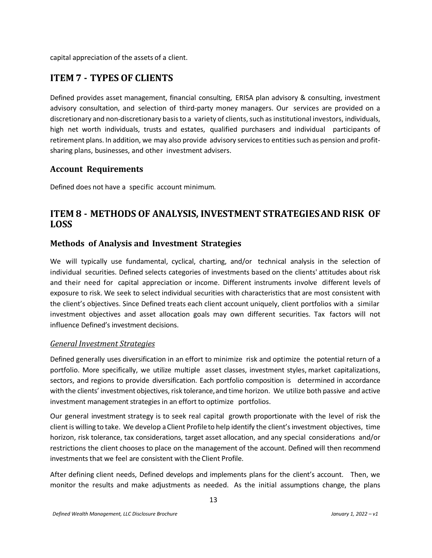capital appreciation of the assets of a client.

# <span id="page-12-0"></span>**ITEM 7 - TYPES OF CLIENTS**

Defined provides asset management, financial consulting, ERISA plan advisory & consulting, investment advisory consultation, and selection of third-party money managers. Our services are provided on a discretionary and non-discretionary basis to a variety of clients, such as institutional investors, individuals, high net worth individuals, trusts and estates, qualified purchasers and individual participants of retirement plans. In addition, we may also provide advisory services to entities such as pension and profitsharing plans, businesses, and other investment advisers.

#### **Account Requirements**

Defined does not have a specific account minimum.

# <span id="page-12-1"></span>**ITEM 8 - METHODS OF ANALYSIS, INVESTMENT STRATEGIESAND RISK OF LOSS**

#### **Methods of Analysis and Investment Strategies**

We will typically use fundamental, cyclical, charting, and/or technical analysis in the selection of individual securities. Defined selects categories of investments based on the clients' attitudes about risk and their need for capital appreciation or income. Different instruments involve different levels of exposure to risk. We seek to select individual securities with characteristics that are most consistent with the client's objectives. Since Defined treats each client account uniquely, client portfolios with a similar investment objectives and asset allocation goals may own different securities. Tax factors will not influence Defined's investment decisions.

#### *General Investment Strategies*

Defined generally uses diversification in an effort to minimize risk and optimize the potential return of a portfolio. More specifically, we utilize multiple asset classes, investment styles, market capitalizations, sectors, and regions to provide diversification. Each portfolio composition is determined in accordance with the clients' investment objectives, risk tolerance, and time horizon. We utilize both passive and active investment management strategies in an effort to optimize portfolios.

Our general investment strategy is to seek real capital growth proportionate with the level of risk the client is willing to take. We develop a Client Profileto help identify the client'sinvestment objectives, time horizon, risk tolerance, tax considerations, target asset allocation, and any special considerations and/or restrictions the client chooses to place on the management of the account. Defined will then recommend investments that we feel are consistent with the Client Profile.

After defining client needs, Defined develops and implements plans for the client's account. Then, we monitor the results and make adjustments as needed. As the initial assumptions change, the plans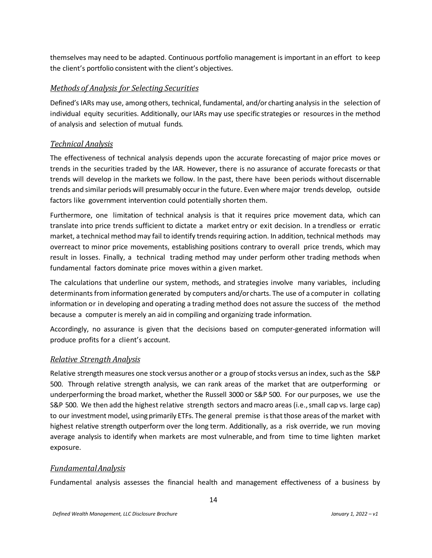themselves may need to be adapted. Continuous portfolio management is important in an effort to keep the client's portfolio consistent with the client's objectives.

#### *Methods of Analysis for Selecting Securities*

Defined's IARs may use, among others, technical, fundamental, and/or charting analysis in the selection of individual equity securities. Additionally, ourIARs may use specific strategies or resources in the method of analysis and selection of mutual funds.

#### *Technical Analysis*

The effectiveness of technical analysis depends upon the accurate forecasting of major price moves or trends in the securities traded by the IAR. However, there is no assurance of accurate forecasts or that trends will develop in the markets we follow. In the past, there have been periods without discernable trends and similar periods will presumably occurin the future. Even where major trends develop, outside factors like government intervention could potentially shorten them.

Furthermore, one limitation of technical analysis is that it requires price movement data, which can translate into price trends sufficient to dictate a market entry or exit decision. In a trendless or erratic market, a technical method may fail to identify trends requiring action. In addition, technical methods may overreact to minor price movements, establishing positions contrary to overall price trends, which may result in losses. Finally, a technical trading method may under perform other trading methods when fundamental factors dominate price moves within a given market.

The calculations that underline our system, methods, and strategies involve many variables, including determinants from information generated by computers and/or charts. The use of a computer in collating information or in developing and operating a trading method does not assure the success of the method because a computer is merely an aid in compiling and organizing trade information.

Accordingly, no assurance is given that the decisions based on computer-generated information will produce profits for a client's account.

#### *Relative Strength Analysis*

Relative strength measures one stock versus another or a group of stocks versus an index, such as the S&P 500. Through relative strength analysis, we can rank areas of the market that are outperforming or underperforming the broad market, whether the Russell 3000 or S&P 500. For our purposes, we use the S&P 500. We then add the highest relative strength sectors and macro areas (i.e., small cap vs. large cap) to our investment model, using primarily ETFs. The general premise isthatthose areas of the market with highest relative strength outperform over the long term. Additionally, as a risk override, we run moving average analysis to identify when markets are most vulnerable, and from time to time lighten market exposure.

#### *FundamentalAnalysis*

Fundamental analysis assesses the financial health and management effectiveness of a business by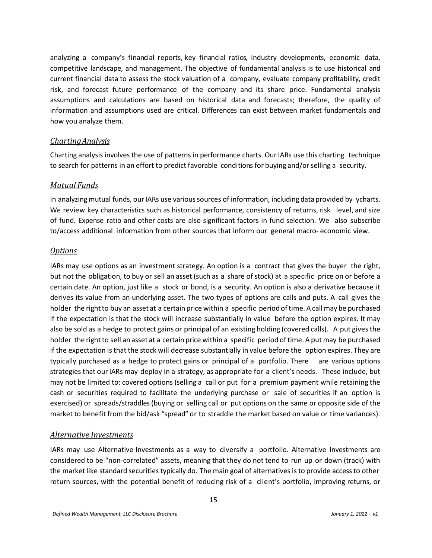analyzing a company's financial reports, key financial ratios, industry developments, economic data, competitive landscape, and management. The objective of fundamental analysis is to use historical and current financial data to assess the stock valuation of a company, evaluate company profitability, credit risk, and forecast future performance of the company and its share price. Fundamental analysis assumptions and calculations are based on historical data and forecasts; therefore, the quality of information and assumptions used are critical. Differences can exist between market fundamentals and how you analyze them.

#### *ChartingAnalysis*

Charting analysis involves the use of patterns in performance charts. OurIARs use this charting technique to search for patterns in an effort to predict favorable conditions for buying and/orselling a security.

#### *Mutual Funds*

In analyzing mutual funds, our IARs use various sources of information, including data provided by ycharts. We review key characteristics such as historical performance, consistency of returns, risk level, and size of fund. Expense ratio and other costs are also significant factors in fund selection. We also subscribe to/access additional information from other sources that inform our general macro- economic view.

#### *Options*

IARs may use options as an investment strategy. An option is a contract that gives the buyer the right, but not the obligation, to buy or sell an asset (such as a share of stock) at a specific price on or before a certain date. An option, just like a stock or bond, is a security. An option is also a derivative because it derives its value from an underlying asset. The two types of options are calls and puts. A call gives the holder the right to buy an asset at a certain price within a specific period of time. A call may be purchased if the expectation is that the stock will increase substantially in value before the option expires. It may also be sold as a hedge to protect gains or principal of an existing holding (covered calls). A put gives the holder the right to sell an asset at a certain price within a specific period of time. A put may be purchased if the expectation isthat the stock will decrease substantially in value before the option expires. They are typically purchased as a hedge to protect gains or principal of a portfolio. There are various options strategies that our IARs may deploy in a strategy, as appropriate for a client's needs. These include, but may not be limited to: covered options (selling a call or put for a premium payment while retaining the cash or securities required to facilitate the underlying purchase or sale of securities if an option is exercised) or spreads/straddles(buying or selling call or put options on the same or opposite side of the market to benefit from the bid/ask "spread" or to straddle the market based on value or time variances).

#### *Alternative Investments*

IARs may use Alternative Investments as a way to diversify a portfolio. Alternative Investments are considered to be "non-correlated" assets, meaning that they do not tend to run up or down (track) with the market like standard securities typically do. The main goal of alternativesis to provide accessto other return sources, with the potential benefit of reducing risk of a client's portfolio, improving returns, or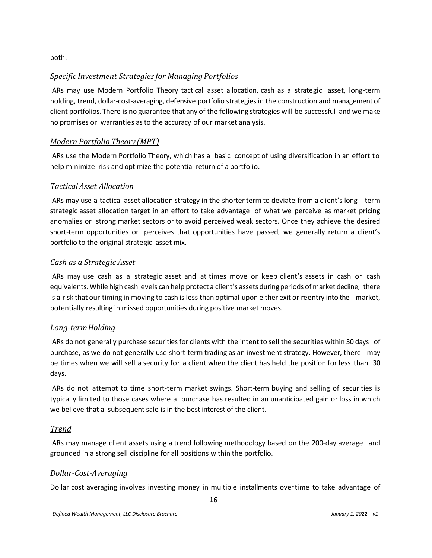both.

#### *Specific Investment Strategiesfor Managing Portfolios*

IARs may use Modern Portfolio Theory tactical asset allocation, cash as a strategic asset, long-term holding, trend, dollar-cost-averaging, defensive portfolio strategies in the construction and management of client portfolios.There is no guarantee that any of the following strategies will be successful and we make no promises or warranties asto the accuracy of our market analysis.

#### *Modern Portfolio Theory (MPT)*

IARs use the Modern Portfolio Theory, which has a basic concept of using diversification in an effort to help minimize risk and optimize the potential return of a portfolio.

#### *Tactical Asset Allocation*

IARs may use a tactical asset allocation strategy in the shorterterm to deviate from a client's long- term strategic asset allocation target in an effort to take advantage of what we perceive as market pricing anomalies or strong market sectors or to avoid perceived weak sectors. Once they achieve the desired short-term opportunities or perceives that opportunities have passed, we generally return a client's portfolio to the original strategic asset mix.

#### *Cash as a Strategic Asset*

IARs may use cash as a strategic asset and at times move or keep client's assets in cash or cash equivalents. While high cash levels can help protect a client's assets during periods of market decline, there is a risk that our timing in moving to cash is less than optimal upon either exit or reentry into the market, potentially resulting in missed opportunities during positive market moves.

#### *Long-termHolding*

IARs do not generally purchase securitiesfor clients with the intent to sell the securities within 30 days of purchase, as we do not generally use short-term trading as an investment strategy. However, there may be times when we will sell a security for a client when the client has held the position for less than 30 days.

IARs do not attempt to time short-term market swings. Short-term buying and selling of securities is typically limited to those cases where a purchase has resulted in an unanticipated gain or loss in which we believe that a subsequent sale is in the best interest of the client.

#### *Trend*

IARs may manage client assets using a trend following methodology based on the 200-day average and grounded in a strong sell discipline for all positions within the portfolio.

#### *Dollar-Cost-Averaging*

Dollar cost averaging involves investing money in multiple installments overtime to take advantage of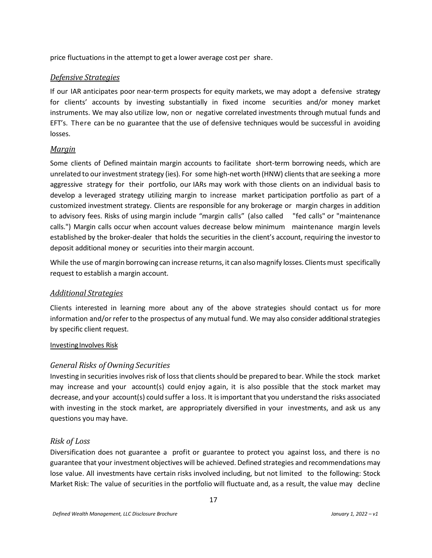price fluctuations in the attempt to get a lower average cost per share.

#### *Defensive Strategies*

If our IAR anticipates poor near-term prospects for equity markets, we may adopt a defensive strategy for clients' accounts by investing substantially in fixed income securities and/or money market instruments. We may also utilize low, non or negative correlated investments through mutual funds and EFT's. There can be no guarantee that the use of defensive techniques would be successful in avoiding losses.

#### *Margin*

Some clients of Defined maintain margin accounts to facilitate short-term borrowing needs, which are unrelated to our investment strategy (ies). For some high-net worth (HNW) clients that are seeking a more aggressive strategy for their portfolio, our IARs may work with those clients on an individual basis to develop a leveraged strategy utilizing margin to increase market participation portfolio as part of a customized investment strategy. Clients are responsible for any brokerage or margin charges in addition to advisory fees. Risks of using margin include "margin calls" (also called "fed calls" or "maintenance calls.") Margin calls occur when account values decrease below minimum maintenance margin levels established by the broker-dealer that holds the securities in the client's account, requiring the investorto deposit additional money or securities into their margin account.

While the use of margin borrowing can increase returns, it can also magnify losses. Clients must specifically request to establish a margin account.

#### *Additional Strategies*

Clients interested in learning more about any of the above strategies should contact us for more information and/or refer to the prospectus of any mutual fund. We may also consider additional strategies by specific client request.

#### Investing Involves Risk

#### *General Risks of Owning Securities*

Investing in securities involves risk of loss that clients should be prepared to bear. While the stock market may increase and your account(s) could enjoy again, it is also possible that the stock market may decrease, and your account(s) could suffer a loss. It isimportantthat you understand the risks associated with investing in the stock market, are appropriately diversified in your investments, and ask us any questions you may have.

#### *Risk of Loss*

Diversification does not guarantee a profit or guarantee to protect you against loss, and there is no guarantee that your investment objectives will be achieved. Defined strategies and recommendations may lose value. All investments have certain risks involved including, but not limited to the following: Stock Market Risk: The value of securities in the portfolio will fluctuate and, as a result, the value may decline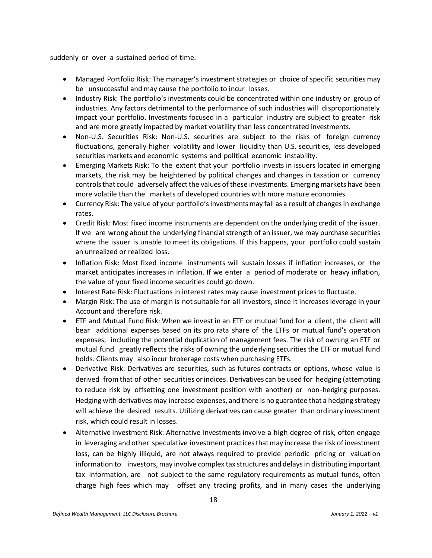suddenly or over a sustained period of time.

- Managed Portfolio Risk: The manager's investment strategies or choice of specific securities may be unsuccessful and may cause the portfolio to incur losses.
- Industry Risk: The portfolio's investments could be concentrated within one industry or group of industries. Any factors detrimental to the performance of such industries will disproportionately impact your portfolio. Investments focused in a particular industry are subject to greater risk and are more greatly impacted by market volatility than less concentrated investments.
- Non-U.S. Securities Risk: Non-U.S. securities are subject to the risks of foreign currency fluctuations, generally higher volatility and lower liquidity than U.S. securities, less developed securities markets and economic systems and political economic instability.
- Emerging Markets Risk: To the extent that your portfolio invests in issuers located in emerging markets, the risk may be heightened by political changes and changes in taxation or currency controls that could adversely affect the values of these investments. Emerging markets have been more volatile than the markets of developed countries with more mature economies.
- Currency Risk: The value of your portfolio's investments may fall as a result of changes in exchange rates.
- Credit Risk: Most fixed income instruments are dependent on the underlying credit of the issuer. If we are wrong about the underlying financial strength of an issuer, we may purchase securities where the issuer is unable to meet its obligations. If this happens, your portfolio could sustain an unrealized or realized loss.
- Inflation Risk: Most fixed income instruments will sustain losses if inflation increases, or the market anticipates increases in inflation. If we enter a period of moderate or heavy inflation, the value of your fixed income securities could go down.
- Interest Rate Risk: Fluctuations in interest rates may cause investment prices to fluctuate.
- Margin Risk: The use of margin is not suitable for all investors, since it increases leverage in your Account and therefore risk.
- ETF and Mutual Fund Risk: When we invest in an ETF or mutual fund for a client, the client will bear additional expenses based on its pro rata share of the ETFs or mutual fund's operation expenses, including the potential duplication of management fees. The risk of owning an ETF or mutual fund greatly reflects the risks of owning the underlying securitiesthe ETF or mutual fund holds. Clients may also incur brokerage costs when purchasing ETFs.
- Derivative Risk: Derivatives are securities, such as futures contracts or options, whose value is derived from that of other securities or indices. Derivatives can be used for hedging (attempting to reduce risk by offsetting one investment position with another) or non-hedging purposes. Hedging with derivatives may increase expenses, and there is no guarantee that a hedging strategy will achieve the desired results. Utilizing derivatives can cause greater than ordinary investment risk, which could result in losses.
- Alternative Investment Risk: Alternative Investments involve a high degree of risk, often engage in leveraging and other speculative investment practices thatmay increase the risk of investment loss, can be highly illiquid, are not always required to provide periodic pricing or valuation information to investors, may involve complex tax structures and delays in distributing important tax information, are not subject to the same regulatory requirements as mutual funds, often charge high fees which may offset any trading profits, and in many cases the underlying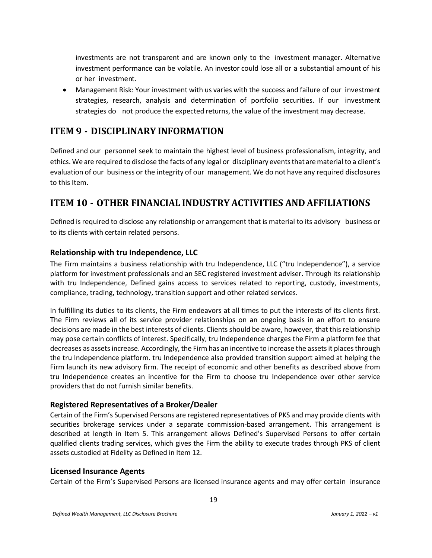investments are not transparent and are known only to the investment manager. Alternative investment performance can be volatile. An investor could lose all or a substantial amount of his or her investment.

• Management Risk: Your investment with us varies with the success and failure of our investment strategies, research, analysis and determination of portfolio securities. If our investment strategies do not produce the expected returns, the value of the investment may decrease.

# <span id="page-18-0"></span>**ITEM 9 - DISCIPLINARY INFORMATION**

Defined and our personnel seek to maintain the highest level of business professionalism, integrity, and ethics. We are required to disclose the facts of any legal or disciplinary eventsthat arematerial to a client's evaluation of our business or the integrity of our management. We do not have any required disclosures to this Item.

# <span id="page-18-1"></span>**ITEM 10 - OTHER FINANCIAL INDUSTRY ACTIVITIES AND AFFILIATIONS**

Defined is required to disclose any relationship or arrangement that is material to its advisory business or to its clients with certain related persons.

#### **Relationship with tru Independence, LLC**

The Firm maintains a business relationship with tru Independence, LLC ("tru Independence"), a service platform for investment professionals and an SEC registered investment adviser. Through its relationship with tru Independence, Defined gains access to services related to reporting, custody, investments, compliance, trading, technology, transition support and other related services.

In fulfilling its duties to its clients, the Firm endeavors at all times to put the interests of its clients first. The Firm reviews all of its service provider relationships on an ongoing basis in an effort to ensure decisions are made in the best interests of clients. Clients should be aware, however, that this relationship may pose certain conflicts of interest. Specifically, tru Independence charges the Firm a platform fee that decreases as assets increase. Accordingly, the Firm has an incentive to increase the assets it places through the tru Independence platform. tru Independence also provided transition support aimed at helping the Firm launch its new advisory firm. The receipt of economic and other benefits as described above from tru Independence creates an incentive for the Firm to choose tru Independence over other service providers that do not furnish similar benefits.

#### **Registered Representatives of a Broker/Dealer**

Certain of the Firm's Supervised Persons are registered representatives of PKS and may provide clients with securities brokerage services under a separate commission-based arrangement. This arrangement is described at length in Item 5. This arrangement allows Defined's Supervised Persons to offer certain qualified clients trading services, which gives the Firm the ability to execute trades through PKS of client assets custodied at Fidelity as Defined in Item 12.

#### **Licensed Insurance Agents**

Certain of the Firm's Supervised Persons are licensed insurance agents and may offer certain insurance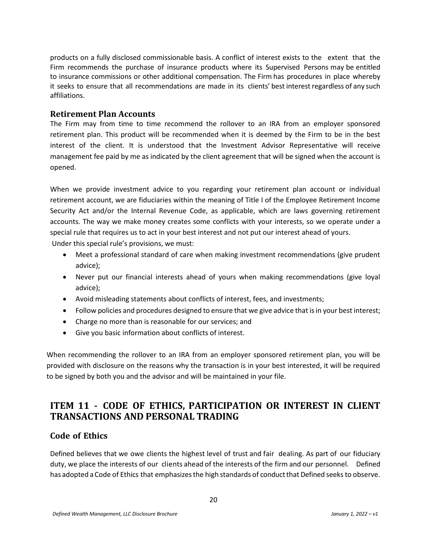products on a fully disclosed commissionable basis. A conflict of interest exists to the extent that the Firm recommends the purchase of insurance products where its Supervised Persons may be entitled to insurance commissions or other additional compensation. The Firm has procedures in place whereby it seeks to ensure that all recommendations are made in its clients' best interest regardless of any such affiliations.

#### **Retirement Plan Accounts**

The Firm may from time to time recommend the rollover to an IRA from an employer sponsored retirement plan. This product will be recommended when it is deemed by the Firm to be in the best interest of the client. It is understood that the Investment Advisor Representative will receive management fee paid by me as indicated by the client agreement that will be signed when the account is opened.

When we provide investment advice to you regarding your retirement plan account or individual retirement account, we are fiduciaries within the meaning of Title I of the Employee Retirement Income Security Act and/or the Internal Revenue Code, as applicable, which are laws governing retirement accounts. The way we make money creates some conflicts with your interests, so we operate under a special rule that requires us to act in your best interest and not put our interest ahead of yours.

Under this special rule's provisions, we must:

- Meet a professional standard of care when making investment recommendations (give prudent advice);
- Never put our financial interests ahead of yours when making recommendations (give loyal advice);
- Avoid misleading statements about conflicts of interest, fees, and investments;
- Follow policies and procedures designed to ensure that we give advice that is in your best interest;
- Charge no more than is reasonable for our services; and
- Give you basic information about conflicts of interest.

When recommending the rollover to an IRA from an employer sponsored retirement plan, you will be provided with disclosure on the reasons why the transaction is in your best interested, it will be required to be signed by both you and the advisor and will be maintained in your file.

# <span id="page-19-0"></span>**ITEM 11 - CODE OF ETHICS, PARTICIPATION OR INTEREST IN CLIENT TRANSACTIONS AND PERSONAL TRADING**

#### **Code of Ethics**

Defined believes that we owe clients the highest level of trust and fair dealing. As part of our fiduciary duty, we place the interests of our clients ahead of the interests of the firm and our personnel. Defined has adopted a Code of Ethics that emphasizes the high standards of conduct that Defined seeks to observe.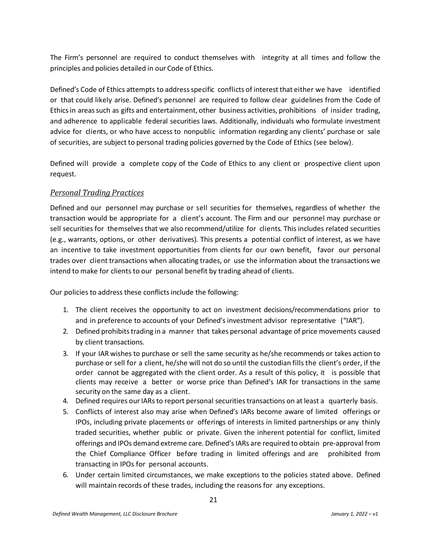The Firm's personnel are required to conduct themselves with integrity at all times and follow the principles and policies detailed in our Code of Ethics.

Defined's Code of Ethics attempts to address specific conflicts of interest that either we have identified or that could likely arise. Defined's personnel are required to follow clear guidelines from the Code of Ethics in areas such as gifts and entertainment, other business activities, prohibitions of insider trading, and adherence to applicable federal securities laws. Additionally, individuals who formulate investment advice for clients, or who have access to nonpublic information regarding any clients' purchase or sale of securities, are subject to personal trading policies governed by the Code of Ethics (see below).

Defined will provide a complete copy of the Code of Ethics to any client or prospective client upon request.

#### *Personal Trading Practices*

Defined and our personnel may purchase or sell securities for themselves, regardless of whether the transaction would be appropriate for a client's account. The Firm and our personnel may purchase or sell securities for themselves that we also recommend/utilize for clients. This includes related securities (e.g., warrants, options, or other derivatives). This presents a potential conflict of interest, as we have an incentive to take investment opportunities from clients for our own benefit, favor our personal trades over client transactions when allocating trades, or use the information about the transactions we intend to make for clients to our personal benefit by trading ahead of clients.

Our policies to address these conflicts include the following:

- 1. The client receives the opportunity to act on investment decisions/recommendations prior to and in preference to accounts of your Defined's investment advisor representative ("IAR").
- 2. Defined prohibits trading in a manner that takes personal advantage of price movements caused by client transactions.
- 3. If your IAR wishes to purchase or sell the same security as he/she recommends or takes action to purchase or sell for a client, he/she will not do so until the custodian fills the client's order, if the order cannot be aggregated with the client order. As a result of this policy, it is possible that clients may receive a better or worse price than Defined's IAR for transactions in the same security on the same day as a client.
- 4. Defined requires our IARs to report personal securities transactions on at least a quarterly basis.
- 5. Conflicts of interest also may arise when Defined's IARs become aware of limited offerings or IPOs, including private placements or offerings of interests in limited partnerships or any thinly traded securities, whether public or private. Given the inherent potential for conflict, limited offerings and IPOs demand extreme care. Defined'sIARs are required to obtain pre-approval from the Chief Compliance Officer before trading in limited offerings and are prohibited from transacting in IPOs for personal accounts.
- 6. Under certain limited circumstances, we make exceptions to the policies stated above. Defined will maintain records of these trades, including the reasons for any exceptions.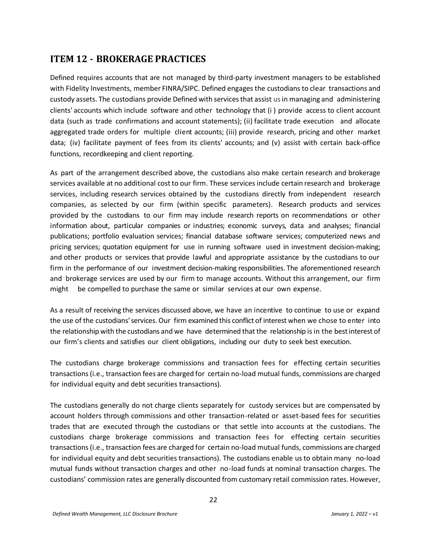# <span id="page-21-0"></span>**ITEM 12 - BROKERAGE PRACTICES**

Defined requires accounts that are not managed by third-party investment managers to be established with Fidelity Investments, member FINRA/SIPC. Defined engages the custodians to clear transactions and custody assets. The custodians provide Defined with services that assist us in managing and administering clients' accounts which include software and other technology that (i ) provide access to client account data (such as trade confirmations and account statements); (ii) facilitate trade execution and allocate aggregated trade orders for multiple client accounts; (iii) provide research, pricing and other market data; (iv) facilitate payment of fees from its clients' accounts; and (v) assist with certain back-office functions, recordkeeping and client reporting.

As part of the arrangement described above, the custodians also make certain research and brokerage services available at no additional cost to our firm. These services include certain research and brokerage services, including research services obtained by the custodians directly from independent research companies, as selected by our firm (within specific parameters). Research products and services provided by the custodians to our firm may include research reports on recommendations or other information about, particular companies or industries; economic surveys, data and analyses; financial publications; portfolio evaluation services; financial database software services; computerized news and pricing services; quotation equipment for use in running software used in investment decision-making; and other products or services that provide lawful and appropriate assistance by the custodians to our firm in the performance of our investment decision-making responsibilities. The aforementioned research and brokerage services are used by our firm to manage accounts. Without this arrangement, our firm might be compelled to purchase the same or similar services at our own expense.

As a result of receiving the services discussed above, we have an incentive to continue to use or expand the use of the custodians' services. Our firm examined this conflict of interest when we chose to enter into the relationship with the custodians and we have determined that the relationship is in the best interest of our firm's clients and satisfies our client obligations, including our duty to seek best execution.

The custodians charge brokerage commissions and transaction fees for effecting certain securities transactions(i.e., transaction fees are charged for certain no-load mutual funds, commissions are charged for individual equity and debt securities transactions).

The custodians generally do not charge clients separately for custody services but are compensated by account holders through commissions and other transaction-related or asset-based fees for securities trades that are executed through the custodians or that settle into accounts at the custodians. The custodians charge brokerage commissions and transaction fees for effecting certain securities transactions(i.e., transaction fees are charged for certain no-load mutual funds, commissions are charged for individual equity and debt securities transactions). The custodians enable us to obtain many no-load mutual funds without transaction charges and other no-load funds at nominal transaction charges. The custodians' commission rates are generally discounted from customary retail commission rates. However,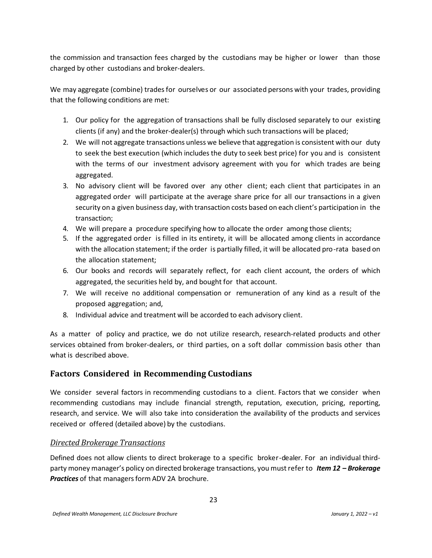the commission and transaction fees charged by the custodians may be higher or lower than those charged by other custodians and broker-dealers.

We may aggregate (combine) trades for ourselves or our associated persons with your trades, providing that the following conditions are met:

- 1. Our policy for the aggregation of transactions shall be fully disclosed separately to our existing clients (if any) and the broker-dealer(s) through which such transactions will be placed;
- 2. We will not aggregate transactions unless we believe that aggregation is consistent with our duty to seek the best execution (which includesthe duty to seek best price) for you and is consistent with the terms of our investment advisory agreement with you for which trades are being aggregated.
- 3. No advisory client will be favored over any other client; each client that participates in an aggregated order will participate at the average share price for all our transactions in a given security on a given business day, with transaction costs based on each client's participation in the transaction;
- 4. We will prepare a procedure specifying how to allocate the order among those clients;
- 5. If the aggregated order is filled in its entirety, it will be allocated among clients in accordance with the allocation statement; if the order is partially filled, it will be allocated pro-rata based on the allocation statement;
- 6. Our books and records will separately reflect, for each client account, the orders of which aggregated, the securities held by, and bought for that account.
- 7. We will receive no additional compensation or remuneration of any kind as a result of the proposed aggregation; and,
- 8. Individual advice and treatment will be accorded to each advisory client.

As a matter of policy and practice, we do not utilize research, research-related products and other services obtained from broker-dealers, or third parties, on a soft dollar commission basis other than what is described above.

# **Factors Considered in Recommending Custodians**

We consider several factors in recommending custodians to a client. Factors that we consider when recommending custodians may include financial strength, reputation, execution, pricing, reporting, research, and service. We will also take into consideration the availability of the products and services received or offered (detailed above) by the custodians.

#### *Directed Brokerage Transactions*

Defined does not allow clients to direct brokerage to a specific broker-dealer. For an individual thirdparty money manager's policy on directed brokerage transactions, you mustrefer to *Item 12 – Brokerage* **Practices** of that managers form ADV 2A brochure.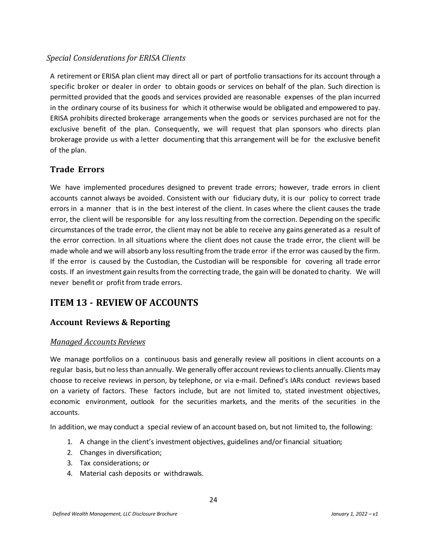#### *Special Considerations for ERISA Clients*

A retirement or ERISA plan client may direct all or part of portfolio transactions for its account through a specific broker or dealer in order to obtain goods or services on behalf of the plan. Such direction is permitted provided that the goods and services provided are reasonable expenses of the plan incurred in the ordinary course of its business for which it otherwise would be obligated and empowered to pay. ERISA prohibits directed brokerage arrangements when the goods or services purchased are not for the exclusive benefit of the plan. Consequently, we will request that plan sponsors who directs plan brokerage provide us with a letter documenting that this arrangement will be for the exclusive benefit of the plan.

#### **Trade Errors**

We have implemented procedures designed to prevent trade errors; however, trade errors in client accounts cannot always be avoided. Consistent with our fiduciary duty, it is our policy to correct trade errors in a manner that is in the best interest of the client. In cases where the client causes the trade error, the client will be responsible for any loss resulting from the correction. Depending on the specific circumstances of the trade error, the client may not be able to receive any gains generated as a result of the error correction. In all situations where the client does not cause the trade error, the client will be made whole and we will absorb any loss resulting from the trade error if the error was caused by the firm. If the error is caused by the Custodian, the Custodian will be responsible for covering all trade error costs. If an investment gain results from the correcting trade, the gain will be donated to charity. We will never benefit or profit from trade errors.

# <span id="page-23-0"></span>**ITEM 13 - REVIEW OF ACCOUNTS**

#### **Account Reviews & Reporting**

#### *Managed Accounts Reviews*

We manage portfolios on a continuous basis and generally review all positions in client accounts on a regular basis, but no lessthan annually. We generally offer accountreviewsto clients annually. Clients may choose to receive reviews in person, by telephone, or via e-mail. Defined's IARs conduct reviews based on a variety of factors. These factors include, but are not limited to, stated investment objectives, economic environment, outlook for the securities markets, and the merits of the securities in the accounts.

In addition, we may conduct a special review of an account based on, but not limited to, the following:

- 1. A change in the client's investment objectives, guidelines and/or financial situation;
- 2. Changes in diversification;
- 3. Tax considerations; or
- 4. Material cash deposits or withdrawals.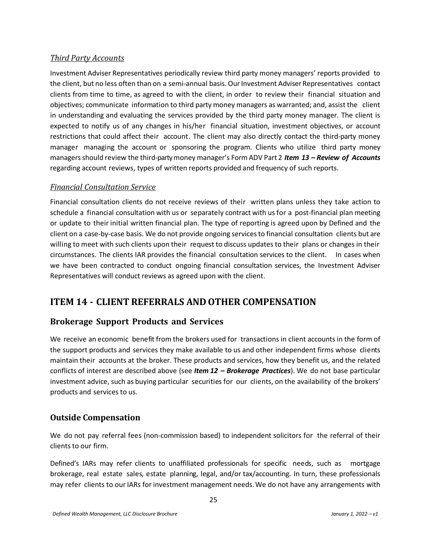#### *Third Party Accounts*

Investment Adviser Representatives periodically review third party money managers' reports provided to the client, but no less often than on a semi-annual basis. OurInvestment Adviser Representatives contact clients from time to time, as agreed to with the client, in order to review their financial situation and objectives; communicate information to third party money managers as warranted; and, assist the client in understanding and evaluating the services provided by the third party money manager. The client is expected to notify us of any changes in his/her financial situation, investment objectives, or account restrictions that could affect their account. The client may also directly contact the third-party money manager managing the account or sponsoring the program. Clients who utilize third party money managersshould review the third-partymoney manager's Form ADV Part 2 *Item 13 – Review of Accounts* regarding account reviews, types of written reports provided and frequency of such reports.

#### *Financial Consultation Service*

Financial consultation clients do not receive reviews of their written plans unless they take action to schedule a financial consultation with us or separately contract with us for a post-financial plan meeting or update to their initial written financial plan. The type of reporting is agreed upon by Defined and the client on a case-by-case basis. We do not provide ongoing servicesto financial consultation clients but are willing to meet with such clients upon their request to discuss updates to their plans or changes in their circumstances. The clients IAR provides the financial consultation services to the client. In cases when we have been contracted to conduct ongoing financial consultation services, the Investment Adviser Representatives will conduct reviews as agreed upon with the client.

# <span id="page-24-0"></span>**ITEM 14 - CLIENT REFERRALS AND OTHER COMPENSATION**

# **Brokerage Support Products and Services**

We receive an economic benefit from the brokers used for transactions in client accounts in the form of the support products and services they make available to us and other independent firms whose clients maintain their accounts at the broker. These products and services, how they benefit us, and the related conflicts of interest are described above (see *Item 12 – Brokerage Practices*). We do not base particular investment advice, such as buying particular securities for our clients, on the availability of the brokers' products and services to us.

#### **Outside Compensation**

We do not pay referral fees (non-commission based) to independent solicitors for the referral of their clients to our firm.

Defined's IARs may refer clients to unaffiliated professionals for specific needs, such as mortgage brokerage, real estate sales, estate planning, legal, and/or tax/accounting. In turn, these professionals may refer clients to our IARs for investment management needs. We do not have any arrangements with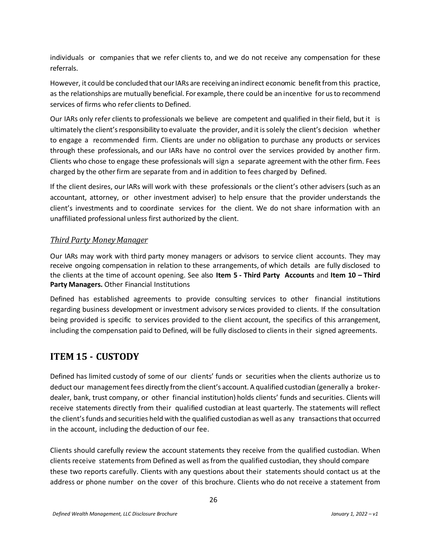individuals or companies that we refer clients to, and we do not receive any compensation for these referrals.

However, it could be concluded that our IARs are receiving an indirect economic benefit from this practice, as the relationships are mutually beneficial. For example, there could be an incentive for usto recommend services of firms who refer clients to Defined.

Our IARs only refer clients to professionals we believe are competent and qualified in their field, but it is ultimately the client'sresponsibility to evaluate the provider, and it issolely the client's decision whether to engage a recommended firm. Clients are under no obligation to purchase any products or services through these professionals, and our IARs have no control over the services provided by another firm. Clients who chose to engage these professionals will sign a separate agreement with the other firm. Fees charged by the other firm are separate from and in addition to fees charged by Defined.

If the client desires, our IARs will work with these professionals orthe client's other advisers (such as an accountant, attorney, or other investment adviser) to help ensure that the provider understands the client's investments and to coordinate services for the client. We do not share information with an unaffiliated professional unless first authorized by the client.

#### *Third Party MoneyManager*

Our IARs may work with third party money managers or advisors to service client accounts. They may receive ongoing compensation in relation to these arrangements, of which details are fully disclosed to the clients at the time of account opening. See also **Item 5 - Third Party Accounts** and **Item 10 – Third Party Managers.** Other Financial Institutions

Defined has established agreements to provide consulting services to other financial institutions regarding business development or investment advisory services provided to clients. If the consultation being provided is specific to services provided to the client account, the specifics of this arrangement, including the compensation paid to Defined, will be fully disclosed to clients in their signed agreements.

# <span id="page-25-0"></span>**ITEM 15 - CUSTODY**

Defined has limited custody of some of our clients' funds or securities when the clients authorize us to deduct our management fees directly from the client's account. A qualified custodian (generally a brokerdealer, bank, trust company, or other financial institution) holds clients' funds and securities. Clients will receive statements directly from their qualified custodian at least quarterly. The statements will reflect the client's funds and securities held with the qualified custodian as well as any transactions that occurred in the account, including the deduction of our fee.

Clients should carefully review the account statements they receive from the qualified custodian. When clients receive statements from Defined as well as from the qualified custodian, they should compare these two reports carefully. Clients with any questions about their statements should contact us at the address or phone number on the cover of this brochure. Clients who do not receive a statement from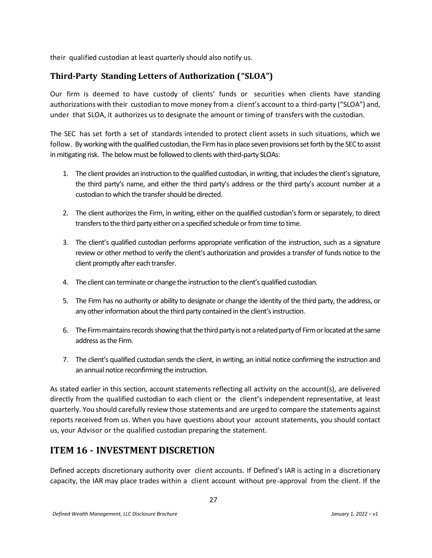their qualified custodian at least quarterly should also notify us.

# **Third-Party Standing Letters of Authorization ("SLOA")**

Our firm is deemed to have custody of clients' funds or securities when clients have standing authorizations with their custodian to move money from a client's account to a third-party ("SLOA") and, under that SLOA, it authorizes us to designate the amount ortiming of transfers with the custodian.

The SEC has set forth a set of standards intended to protect client assets in such situations, which we follow. By working with the qualified custodian, the Firm has in place seven provisions set forth by the SEC to assist in mitigating risk. The below must be followed to clients with third-party SLOAs:

- 1. The client provides an instruction to the qualified custodian, in writing, that includes the client's signature, the third party's name, and either the third party's address or the third party's account number at a custodian to which the transfer should be directed.
- 2. The client authorizes the Firm, in writing, either on the qualified custodian's form or separately, to direct transfers to the third party either on a specified schedule or from time to time.
- 3. The client's qualified custodian performs appropriate verification of the instruction, such as a signature review or other method to verify the client's authorization and provides a transfer of funds notice to the client promptly after each transfer.
- 4. The client can terminate or change the instruction to the client's qualified custodian.
- 5. The Firm has no authority or ability to designate or change the identity of the third party, the address, or any other information about the third party contained in the client's instruction.
- 6. The Firm maintains records showing that the third party is not a related party of Firm or located at the same address as the Firm.
- 7. The client's qualified custodian sends the client, in writing, an initial notice confirming the instruction and an annual notice reconfirming the instruction.

As stated earlier in this section, account statements reflecting all activity on the account(s), are delivered directly from the qualified custodian to each client or the client's independent representative, at least quarterly. You should carefully review those statements and are urged to compare the statements against reports received from us. When you have questions about your account statements, you should contact us, your Advisor or the qualified custodian preparing the statement.

# <span id="page-26-0"></span>**ITEM 16 - INVESTMENT DISCRETION**

Defined accepts discretionary authority over client accounts. If Defined's IAR is acting in a discretionary capacity, the IAR may place trades within a client account without pre-approval from the client. If the